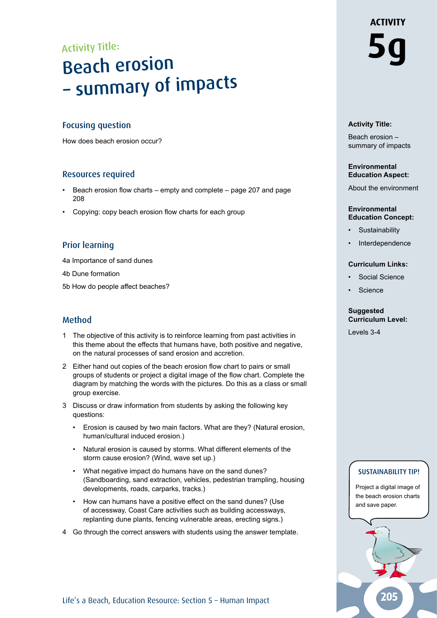# Activity Title: Beach erosion – summary of impacts

## Focusing question

How does beach erosion occur?

### Resources required

- Beach erosion flow charts empty and complete page 207 and page 208
- Copying: copy beach erosion flow charts for each group

# Prior learning

4a Importance of sand dunes

- 4b Dune formation
- 5b How do people affect beaches?

# Method

- 1 The objective of this activity is to reinforce learning from past activities in this theme about the effects that humans have, both positive and negative, on the natural processes of sand erosion and accretion.
- 2 Either hand out copies of the beach erosion flow chart to pairs or small groups of students or project a digital image of the flow chart. Complete the diagram by matching the words with the pictures. Do this as a class or small group exercise.
- 3 Discuss or draw information from students by asking the following key questions:
	- Erosion is caused by two main factors. What are they? (Natural erosion, human/cultural induced erosion.)
	- Natural erosion is caused by storms. What different elements of the storm cause erosion? (Wind, wave set up.)
	- What negative impact do humans have on the sand dunes? (Sandboarding, sand extraction, vehicles, pedestrian trampling, housing developments, roads, carparks, tracks.)
	- How can humans have a positive effect on the sand dunes? (Use of accessway, Coast Care activities such as building accessways, replanting dune plants, fencing vulnerable areas, erecting signs.)
- 4 Go through the correct answers with students using the answer template.

# **ACTIVITY 5g**

#### **Activity Title:**

Beach erosion – summary of impacts

#### **Environmental Education Aspect:**

About the environment

#### **Environmental Education Concept:**

- **Sustainability**
- **Interdependence**

#### **Curriculum Links:**

- Social Science
- **Science**

#### **Suggested Curriculum Level:**

Levels 3-4

# Sustainability tip!

Project a digital image of the beach erosion charts and save paper.

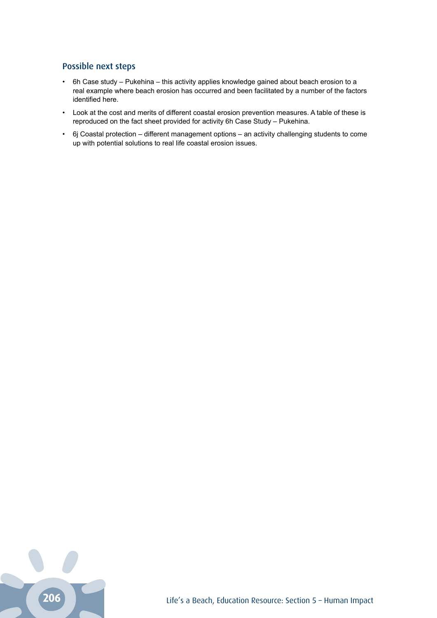# Possible next steps

- 6h Case study Pukehina this activity applies knowledge gained about beach erosion to a real example where beach erosion has occurred and been facilitated by a number of the factors identified here.
- Look at the cost and merits of different coastal erosion prevention measures. A table of these is reproduced on the fact sheet provided for activity 6h Case Study – Pukehina.
- 6j Coastal protection different management options an activity challenging students to come up with potential solutions to real life coastal erosion issues.

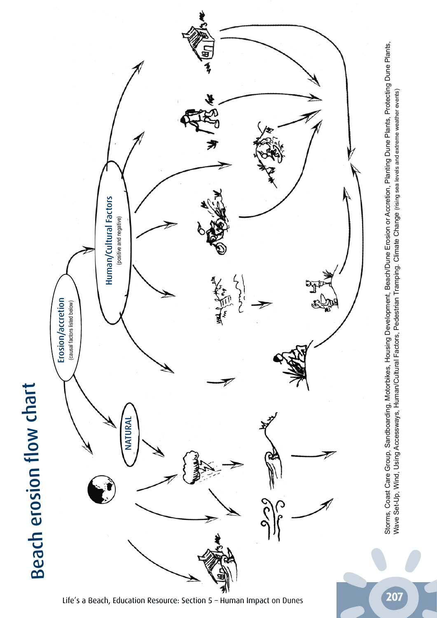